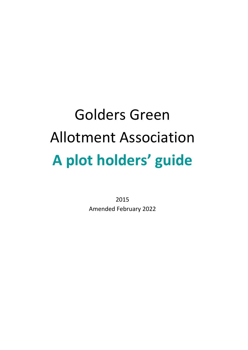# Golders Green Allotment Association **A plot holders' guide**

2015 Amended February 2022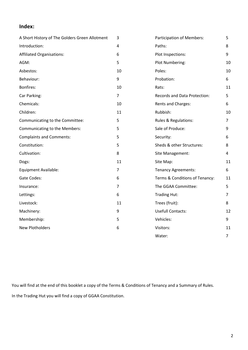## **Index:**

| A Short History of The Golders Green Allotment | 3              | <b>Participation of Members:</b> | 5              |
|------------------------------------------------|----------------|----------------------------------|----------------|
| Introduction:                                  | 4              | Paths:                           | 8              |
| <b>Affiliated Organisations:</b>               | 6              | Plot Inspections:                | 9              |
| AGM:                                           | 5              | Plot Numbering:                  | 10             |
| Asbestos:                                      | 10             | Poles:                           | 10             |
| Behaviour:                                     | 9              | Probation:                       | 6              |
| Bonfires:                                      | 10             | Rats:                            | 11             |
| Car Parking:                                   | $\overline{7}$ | Records and Data Protection:     | 5              |
| Chemicals:                                     | 10             | Rents and Charges:               | 6              |
| Children:                                      | 11             | Rubbish:                         | 10             |
| Communicating to the Committee:                | 5              | Rules & Regulations:             | $\overline{7}$ |
| Communicating to the Members:                  | 5              | Sale of Produce:                 | 9              |
| <b>Complaints and Comments:</b>                | 5              | Security:                        | 6              |
| Constitution:                                  | 5              | Sheds & other Structures:        | 8              |
| Cultivation:                                   | 8              | Site Management:                 | 4              |
| Dogs:                                          | 11             | Site Map:                        | 11             |
| <b>Equipment Available:</b>                    | $\overline{7}$ | <b>Tenancy Agreements:</b>       | 6              |
| Gate Codes:                                    | 6              | Terms & Conditions of Tenancy:   | 11             |
| Insurance:                                     | $\overline{7}$ | The GGAA Committee:              | 5              |
| Lettings:                                      | 6              | <b>Trading Hut:</b>              | 7              |
| Livestock:                                     | 11             | Trees (fruit):                   | 8              |
| Machinery:                                     | 9              | <b>Usefull Contacts:</b>         | 12             |
| Membership:                                    | 5              | Vehicles:                        | 9              |
| <b>New Plotholders</b>                         | 6              | Visitors:                        | 11             |
|                                                |                | Water:                           | $\overline{7}$ |

You will find at the end of this booklet a copy of the Terms & Conditions of Tenancy and a Summary of Rules. In the Trading Hut you will find a copy of GGAA Constitution.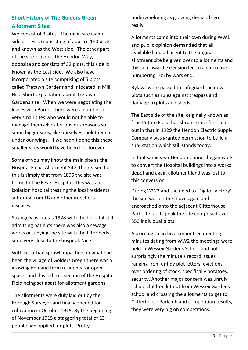# **Short History of The Golders Green Allotment Sites:**

We consist of 3 sites. The main site (same side as Tesco) consisting of approx. 180 plots and known as the West side. The other part of the site is across the Hendon Way, opposite and consists of 32 plots, this side is known as the East side. We also have incorporated a site comprising of 5 plots, called Tretawn Gardens and is located in Mill Hill. Short explanation about Tretawn Gardens site. When we were negotiating the leases with Barnet there were a number of very small sites who would not be able to manage themselves for obvious reasons so some bigger sites, like ourselves took them in under our wings. If we hadn't done this these smaller sites would have been lost forever.

Some of you may know the main site as the Hospital Fields Allotment Site; the reason for this is simply that from 1896 the site was home to The Fever Hospital. This was an isolation hospital treating the local residents suffering from TB and other infectious diseases.

Strangely as late as 1928 with the hospital still admitting patients there was also a sewage works occupying the site with the filter beds sited very close to the hospital. Nice!

With suburban sprawl impacting on what had been the village of Golders Green there was a growing demand from residents for open spaces and this led to a section of the Hospital Field being set apart for allotment gardens.

The allotments were duly laid out by the Borough Surveyor and finally opened for cultivation in October 1915. By the beginning of November 1915 a staggering total of 13 people had applied for plots. Pretty

underwhelming as growing demands go really.

Allotments came into their own during WW1 and public opinion demanded that all available land adjacent to the original allotment site be given over to allotments and this southward extension led to an increase numbering 105 by wars end.

Bylaws were passed to safeguard the new plots such as rules against trespass and damage to plots and sheds.

The East side of the site, originally known as 'The Potato Field' has shrunk since first laid out in that in 1929 the Hendon Electric Supply Company was granted permission to build a sub- station which still stands today.

In that same year Hendon Council began work to convert the Hospital buildings into a works depot and again allotment land was lost to this conversion.

During WW2 and the need to 'Dig for Victory' the site was on the move again and encroached onto the adjacent Clitterhouse Park site; at its peak the site comprised over 350 individual plots.

According to archive committee meeting minutes dating from WW2 the meetings were held in Wessex Gardens School and not surprisingly the minute's record issues ranging from untidy plot letters, evictions, over ordering of stock, specifically potatoes, security. Another major concern was unruly school children let out from Wessex Gardens school and crossing the allotments to get to Clitterhouse Park; oh and competition results, they were very big on competitions.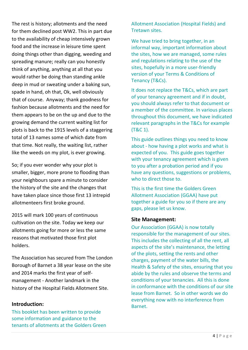The rest is history; allotments and the need for them declined post WW2. This in part due to the availability of cheap intensively grown food and the increase in leisure time spent doing things other than digging, weeding and spreading manure; really can you honestly think of anything, anything at all that you would rather be doing than standing ankle deep in mud or sweating under a baking sun, spade in hand, oh that, Ok, well obviously that of course. Anyway; thank goodness for fashion because allotments and the need for them appears to be on the up and due to the growing demand the current waiting list for plots is back to the 1915 levels of a staggering total of 13 names some of which date from that time. Not really, the waiting list, rather like the weeds on my plot, is ever growing.

So; if you ever wonder why your plot is smaller, bigger, more prone to flooding than your neighbours spare a minute to consider the history of the site and the changes that have taken place since those first 13 intrepid allotmenteers first broke ground.

2015 will mark 100 years of continuous cultivation on the site. Today we keep our allotments going for more or less the same reasons that motivated those first plot holders.

The Association has secured from The London Borough of Barnet a 38 year lease on the site and 2014 marks the first year of selfmanagement - Another landmark in the history of the Hospital Fields Allotment Site.

#### **Introduction:**

This booklet has been written to provide some information and guidance to the tenants of allotments at the Golders Green Allotment Association (Hospital Fields) and Tretawn sites.

We have tried to bring together, in an informal way, important information about the sites, how we are managed, some rules and regulations relating to the use of the sites, hopefully in a more user-friendly version of your Terms & Conditions of Tenancy (T&Cs).

It does not replace the T&Cs, which are part of your tenancy agreement and if in doubt, you should always refer to that document or a member of the committee. In various places throughout this document, we have indicated relevant paragraphs in the T&Cs for example (T&C 1).

This guide outlines things you need to know about - how having a plot works and what is expected of you. This guide goes together with your tenancy agreement which is given to you after a probation period and if you have any questions, suggestions or problems, who to direct those to.

This is the first time the Golders Green Allotment Association (GGAA) have put together a guide for you so if there are any gaps, please let us know.

#### **Site Management:**

Our Association (GGAA) is now totally responsible for the management of our sites. This includes the collecting of all the rent, all aspects of the site's maintenance, the letting of the plots, setting the rents and other charges, payment of the water bills, the Health & Safety of the sites, ensuring that you abide by the rules and observe the terms and conditions of your tenancies. All this is done in conformance with the conditions of our site lease from Barnet. So in other words we do everything now with no interference from Barnet.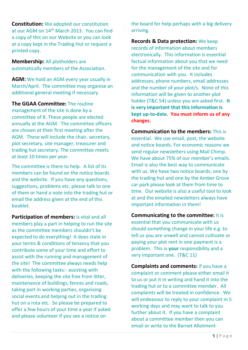**Constitution:** We adopted our constitution at our AGM on 14<sup>th</sup> March 2013. You can find a copy of this on our Website or you can look at a copy kept in the Trading Hut or request a printed copy.

**Membership:** All plotholders are automatically members of the Association.

**AGM:** We hold an AGM every year usually in March/April. The committee may organise an additional general meeting if necessary.

**The GGAA Committee:** The routine management of the site is done by a committee of 8. These people are elected annually at the AGM. The committee officers are chosen at their first meeting after the AGM. These will include the chair, secretary, plot secretary, site manager, treasurer and trading hut secretary. The committee meets at least 10 times per year.

The committee is there to help. A list of its members can be found on the notice boards and the website. If you have any questions, suggestions, problems etc. please talk to one of them or hand a note into the trading hut or email the address given at the end of this booklet.

**Participation of members:** is vital and all members play a part in helping to run the site as the committee members shouldn't be expected to do everything! It does state in your terms & conditions of tenancy that you contribute some of your time and effort to assist with the running and management of the site! The committee always needs help with the following tasks:- assisting with deliveries, keeping the site free from litter, maintenance of buildings, fences and roads, taking part in working parties, organising social events and helping out in the trading hut on a rota etc. So please be prepared to offer a few hours of your time a year if asked and please volunteer if you see a notice on

the board for help perhaps with a big delivery arriving.

**Records & Data protection:** We keep records of information about members electronically. This information is essential factual information about you that we need for the management of the site and for communication with you. It includes addresses, phone numbers, email addresses and the number of your plot/s. None of this information will be given to another plot holder (T&C 54) unless you are asked first. **It is very important that this information is kept up-to-date. You must inform us of any changes.**

**Communication to the members:** This is essential. We use email, post, the website and notice boards. For economic reasons we send regular newsletters using Mail Chimp. We have about 75% of our member's emails. Email is also the best way to communicate with us. We have two notice boards; one by the trading hut and one by the Amber Grove car park please look at them from time to time. Our website is also a useful tool to look at and the emailed newsletters always have important information in them!

**Communicating to the committee:** It is essential that you communicate with us should something change in your life e.g. to tell us you are unwell and cannot cultivate or paying your plot rent in one payment is a problem. This is **your** responsibility and a very important one. (T&C 11)

**Complaints and comments:** if you have a complaint or comment please either email it to us or put it in writing and hand it into the trading hut or to a committee member. All complaints will be treated in confidence. We will endeavour to reply to your complaint in 5 working days and may want to talk to you further about it. If you have a complaint about a committee member then you can email or write to the Barnet Allotment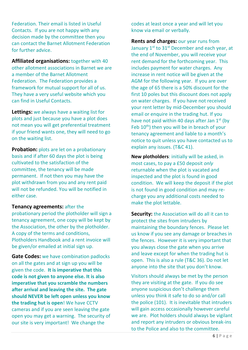Federation. Their email is listed in Useful Contacts. If you are not happy with any decision made by the committee then you can contact the Barnet Allotment Federation for further advice.

**Affiliated organisations:** together with 40 other allotment associations in Barnet we are a member of the Barnet Allotment Federation. The Federation provides a framework for mutual support for all of us. They have a very useful website which you can find in Useful Contacts.

**Lettings:** we always have a waiting list for plots and just because you have a plot does not mean you will get preferential treatment if your friend wants one, they will need to go on the waiting list.

**Probation:** plots are let on a probationary basis and if after 60 days the plot is being cultivated to the satisfaction of the committee, the tenancy will be made permanent. If not then you may have the plot withdrawn from you and any rent paid will not be refunded. You will be notified in either case.

#### **Tenancy agreements:** after the

probationary period the plotholder will sign a tenancy agreement, one copy will be kept by the Association, the other by the plotholder. A copy of the terms and conditions, Plotholders Handbook and a rent invoice will be given/or emailed at initial sign up.

**Gate Codes:** we have combination padlocks on all the gates and at sign up you will be given the code. **It is imperative that this code is not given to anyone else. It is also imperative that you scramble the numbers after arrival and leaving the site. The gate should NEVER be left open unless you know the trading hut is open**! We have CCTV cameras and if you are seen leaving the gate open you may get a warning. The security of our site is very important! We change the

codes at least once a year and will let you know via email or verbally.

**Rents and charges:** our year runs from January  $1^{st}$  to  $31^{st}$  December and each year, at the end of November, you will receive your rent demand for the forthcoming year. This includes payment for water charges. Any increase in rent notice will be given at the AGM for the following year. If you are over the age of 65 there is a 50% discount for the first 10 poles but this discount does not apply on water charges. If you have not received your rent letter by mid-December you should email or enquire in the trading hut. If you have not paid within 40 days after Jan 1<sup>st</sup> (by Feb  $10<sup>th</sup>$ ) then you will be in breach of your tenancy agreement and liable to a month's notice to quit unless you have contacted us to explain any issues. (T&C 41).

**New plotholders**: initially will be asked, in most cases, to pay a £50 deposit *only* returnable when the plot is vacated and inspected and the plot is found in good condition. We will keep the deposit if the plot is not found in good condition and may recharge you any additional costs needed to make the plot lettable.

**Security:** the Association will do all it can to protect the sites from intruders by maintaining the boundary fences. Please let us know if you see any damage or breaches in the fences. However it is very important that you always close the gate when you arrive and leave except for when the trading hut is open. This is also a rule (T&C 36). Do not let anyone into the site that you don't know.

Visitors should always be met by the person they are visiting at the gate. If you do see anyone suspicious don't challenge them unless you think it safe to do so and/or call the police (101). It is inevitable that intruders will gain access occasionally however careful we are. Plot holders should always be vigilant and report any intruders or obvious break-ins to the Police and also to the committee.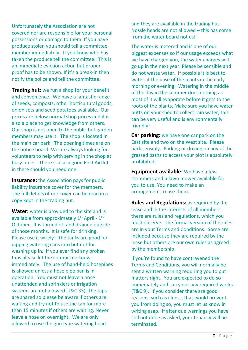Unfortunately the Association are not covered nor are responsible for your personal possessions or damage to them. If you have produce stolen you should tell a committee member immediately. If you know who has taken the produce tell the committee. This is an immediate eviction action but proper proof has to be shown. If it's a break-in then notify the police and tell the committee.

**Trading hut:** we run a shop for your benefit and convenience. We have a fantastic range of seeds, composts, other horticultural goods, onion sets and seed potatoes available. Our prices are below normal shop prices and it is also a place to get knowledge from others. Our shop is not open to the public but garden members may use it. The shop is located in the main car park. The opening times are on the notice board. We are always looking for volunteers to help with serving in the shop at busy times. There is also a good First Aid kit in there should you need one.

**Insurance:** the Association pays for public liability insurance cover for the members. The full details of our cover can be read in a copy kept in the trading hut.

**Water:** water is provided to the site and is available from approximately  $1^{\text{st}}$  April -  $1^{\text{st}}$ October. It is turned off and drained outside of those months. It is safe for drinking. Please use it wisely! The tanks are good for dipping watering cans into but not for washing up in. If you ever find any broken taps please let the committee know immediately. The use of hand-held hosepipes is allowed unless a hose pipe ban is in operation. You must not leave a hose unattended and sprinklers or irrigation systems are not allowed (T&C 33). The taps are shared so please be aware if others are waiting and try not to use the tap for more than 15 minutes if others are waiting. Never leave a hose on overnight. We are only allowed to use the gun type watering head

and they are available in the trading hut. Nossle heads are not allowed – this has come from the water board not us!

The water is metered and is one of our biggest expenses so if our usage exceeds what we have charged you, the water charges will go up in the next year. Please be sensible and do not waste water. If possible it is best to water at the base of the plants in the early morning or evening. Watering in the middle of the day in the summer does nothing as most of it will evaporate before it gets to the roots of the plants. Make sure you have water butts on your shed to collect rain water, this can be very useful and is environmentally friendly!

**Car parking:** we have one car park on the East site and two on the West site. Please park sensibly. Parking or driving on any of the grassed paths to access your plot is absolutely prohibited.

**Equipment available:** We have a few strimmers and a lawn mower available for you to use. You need to make an arrangement to use them.

**Rules and Regulations:** as required by the lease and in the interests of all members, there are rules and regulations, which you must observe. The formal version of the rules are in your Terms and Conditions. Some are included because they are required by the lease but others are our own rules as agreed by the membership.

If you're found to have contravened the Terms and Conditions, you will normally be sent a written warning requiring you to put matters right. You are expected to do so immediately and carry out any required works (T&C 9). If you consider there are good reasons, such as illness, that would prevent you from doing so, you must let us know in writing asap. If after due warnings you have still not done as asked, your tenancy will be terminated.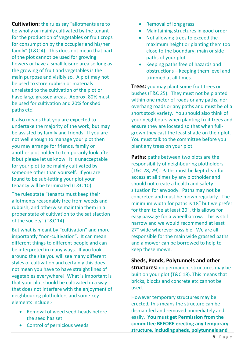**Cultivation:** the rules say "allotments are to be wholly or mainly cultivated by the tenant for the production of vegetables or fruit crops for consumption by the occupier and his/her family" (T&C 4). This does not mean that part of the plot cannot be used for growing flowers or have a small leisure area so long as the growing of fruit and vegetables is the main purpose and visibly so. A plot may not be used to store rubbish or materials unrelated to the cultivation of the plot or have large grassed areas. Approx. 80% must be used for cultivation and 20% for shed paths etc!

It also means that you are expected to undertake the majority of the work, but may be assisted by family and friends. If you are not well enough to manage your plot then you may arrange for friends, family or another plot holder to temporarily look after it but please let us know. It is unacceptable for your plot to be mainly cultivated by someone other than yourself. If you are found to be sub-letting your plot your tenancy will be terminated (T&C 10).

The rules state "tenants must keep their allotments reasonably free from weeds and rubbish, and otherwise maintain them in a proper state of cultivation to the satisfaction of the society" (T&C 14).

But what is meant by "cultivation" and more importantly "non-cultivation". It can mean different things to different people and can be interpreted in many ways. If you look around the site you will see many different styles of cultivation and certainly this does not mean you have to have straight lines of vegetables everywhere! What is important is that your plot should be cultivated in a way that does not interfere with the enjoyment of neighbouring plotholders and some key elements include:-

- Removal of weed seed-heads before the seed has set
- Control of pernicious weeds
- Removal of long grass
- Maintaining structures in good order
- Not allowing trees to exceed the maximum height or planting them too close to the boundary, main or side paths of your plot
- Keeping paths free of hazards and obstructions – keeping them level and trimmed at all times.

**Trees:** you may plant some fruit trees or bushes (T&C 25). They must not be planted within one meter of roads or any paths, nor overhang roads or any paths and must be of a short stock variety. You should also think of your neighbours when planting fruit trees and ensure they are located so that when fullgrown they cast the least shade on their plot. You must talk to the committee before you plant any trees on your plot.

**Paths:** paths between two plots are the responsibility of neighbouring plotholders (T&C 28, 29). Paths must be kept clear for access at all times by any plotholder and should not create a health and safety situation for anybody. Paths may not be concreted and must be mown regularly. The minimum width for paths is 18" but we prefer for them to be at least 20", this allows for easy passage for a wheelbarrow. This is still narrow and we would recommend at least 27" wide wherever possible. We are all responsible for the main wide grassed paths and a mower can be borrowed to help to keep these mown.

### **Sheds, Ponds, Polytunnels and other**

**structures:** no permanent structures may be built on your plot (T&C 18). This means that bricks, blocks and concrete etc cannot be used.

However temporary structures may be erected, this means the structure can be dismantled and removed immediately and easily. **You must get Permission from the committee BEFORE erecting any temporary structure, including sheds, polytunnels and**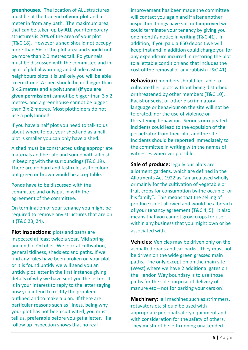**greenhouses.** The location of ALL structures must be at the top end of your plot and a meter in from any path. The maximum area that can be taken up by **ALL** your temporary structures is 20% of the area of your plot (T&C 18). However a shed should not occupy more than 5% of the plot area and should not be more than 2.0 metres tall. Polytunnels must be discussed with the committee and in light of global warming and shade cast on neighbours plots it is unlikely you will be able to erect one. A shed should be no bigger than 3 x 2 metres and a polytunnel **(if you are given permission)** cannot be bigger than 3 x 2 metres. and a greenhouse cannot be bigger than 3 x 2 metres. Most plotholders do not use a polytunnel!

If you have a half plot you need to talk to us about where to put your shed and as a half plot is smaller you can only have a shed.

A shed must be constructed using appropriate materials and be safe and sound with a finish in keeping with the surroundings (T&C 19). There are no hard and fast rules as to colour but green or brown would be acceptable.

Ponds have to be discussed with the committee and only put in with the agreement of the committee.

On termination of your tenancy you might be required to remove any structures that are on it (T&C 23, 24).

**Plot inspections:** plots and paths are inspected at least twice a year. Mid spring and end of October. We look at cultivation, general tidiness, sheds etc and paths. If we find any rules have been broken on your plot or it is found untidy we will send you an untidy plot letter in the first instance giving details of why we have sent you the letter. It is in your interest to reply to the letter saying how you intend to rectify the problem outlined and to make a plan. If there are particular reasons such as illness, being why your plot has not been cultivated, you must tell us, preferable before you get a letter. If a follow up inspection shows that no real

improvement has been made the committee will contact you again and if after another inspection things have still not improved we could terminate your tenancy by giving you one month's notice in writing (T&C 41). In addition, if you paid a £50 deposit we will keep that and in addition could charge you for any expenditure incurred in restoring the plot to a lettable condition and that includes the cost of the removal of any rubbish (T&C 41).

**Behaviour:** members should feel able to cultivate their plots without being disturbed or threatened by other members (T&C 10). Racist or sexist or other discriminatory language or behaviour on the site will not be tolerated, nor the use of violence or threatening behaviour. Serious or repeated incidents could lead to the expulsion of the perpetrator from their plot and the site. Incidents should be reported immediately to the committee in writing with the names of witnesses wherever possible.

**Sale of produce:** legally our plots are allotment gardens, which are defined in the Allotments Act 1922 as "an area used wholly or mainly for the cultivation of vegetable or fruit crops for consumption by the occupier or his family". This means that the selling of produce is not allowed and would be a breach of your tenancy agreement (T&C 4, 5). It also means that you cannot grow crops for use within any business that you might own or be associated with.

**Vehicles:** Vehicles may be driven only on the asphalted roads and car parks. They must not be driven on the wide green grassed main paths. The only exception on the main site (West) where we have 2 additional gates on the Hendon Way boundary is to use those paths for the sole purpose of delivery of manure etc – not for parking your cars on!

**Machinery:** all machines such as strimmers, rotavators etc should be used with appropriate personal safety equipment and with consideration for the safety of others. They must not be left running unattended.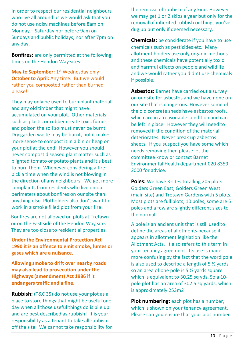In order to respect our residential neighbours who live all around us we would ask that you do not use noisy machines before 8am on Monday – Saturday nor before 9am on Sundays and public holidays, nor after 7pm on any day.

**Bonfires:** are only permitted at the following times on the Hendon Way sites:

**May to September:** 1<sup>st</sup> Wednesday only **October to April:** Any time. But we would rather you composted rather than burned please!

They may only be used to burn plant material and any old timber that might have accumulated on your plot. Other materials such as plastic or rubber create toxic fumes and poison the soil so must never be burnt. Dry garden waste may be burnt, but it makes more sense to compost it in a bin or heap on your plot at the end. However you should never compost diseased plant matter such as blighted tomato or potato plants and it's best to burn them. Whenever considering a fire pick a time when the wind is not blowing in the direction of any neighbours. We get more complaints from residents who live on our perimeters about bonfires on our site than anything else. Plotholders also don't want to work in a smoke filled plot from your fire!

Bonfires are not allowed on plots at Tretawn or on the East side of the Hendon Way site. They are too close to residential properties.

**Under the Environmental Protection Act 1990 it is an offence to emit smoke, fumes or gases which are a nuisance.**

**Allowing smoke to drift over nearby roads may also lead to prosecution under the Highways (amendment) Act 1986 if it endangers traffic and a fine.**

**Rubbish:** (T&C 35) do not use your plot as a place to store things that might be useful one day when all those useful things do is pile up and are best described as rubbish! It is your responsibility as a tenant to take all rubbish off the site. We cannot take responsibility for the removal of rubbish of any kind. However we may get 1 or 2 skips a year but only for the removal of inherited rubbish or things you've dug up but only if deemed necessary.

**Chemicals:** be considerate if you have to use chemicals such as pesticides etc. Many allotment holders use only organic methods and these chemicals have potentially toxic and harmful effects on people and wildlife and we would rather you didn't use chemicals if possible.

**Asbestos:** Barnet have carried out a survey on our site for asbestos and we have none on our site that is dangerous. However some of the old concrete sheds have asbestos roofs, which are in a reasonable condition and can be left in place. However they will need to removed if the condition of the material deteriorates. Never break up asbestos sheets. If you suspect you have some which needs removing then please let the committee know or contact Barnet Environmental Health department 020 8359 2000 for advice.

**Poles:** We have 3 sites totalling 205 plots. Golders Green East, Golders Green West (main site) and Tretawn Gardens with 5 plots. Most plots are full plots, 10 poles, some are 5 poles and a few are slightly different sizes to the normal.

A pole is an ancient unit that is still used to define the areas of allotments because it appears in allotment legislation like the Allotment Acts. It also refers to this term in your tenancy agreement. Its use is made more confusing by the fact that the word pole is also used to describe a length of 5 ½ yards so an area of one pole is 5 ½ yards square which is equivalent to 30.25 sq yds. So a 10pole plot has an area of 302.5 sq yards, which is approximately 253m2

**Plot numbering:** each plot has a number, which is shown on your tenancy agreement. Please can you ensure that your plot number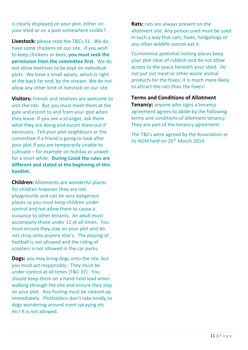is clearly displayed on your plot, either on your shed or on a post somewhere visible?

**Livestock:** please read the T&Cs 31. We do have some chickens on our site. If you wish to keep chickens or bees, **you must seek the permission from the committee first**. We do not allow beehives to be kept on individual plots. We have a small apiary, which is right at the back far end, by the stream. We do not allow any other kind of livestock on our site.

**Visitors:** friends and relatives are welcome to visit the site. But you must meet them at the gate and escort to and from your plot when they leave. If you see a stranger, ask them what they are doing and escort them out if necessary. Tell your plot neighbours or the committee if a friend is going to look after your plot if you are temporarily unable to cultivate – for example on holiday or unwell for a short while. **During Covid the rules are different and stated at the beginning of this booklet.**

**Children:** Allotments are wonderful places for children however they are not playgrounds and can be very dangerous places so you must keep children under control and not allow them to cause a nuisance to other tenants. An adult must accompany those under 12 at all times. You must ensure they stay on your plot and do not stray onto anyone else's. The playing of football is not allowed and the riding of scooters is not allowed in the car parks.

**Dogs:** you may bring dogs onto the site, but you must act responsibly. They must be under control at all times (T&C 37). You should keep them on a hand-held lead when walking through the site and ensure they stay on your plot. Any fouling must be cleared up immediately. Plotholders don't take kindly to dogs wandering around scent spraying etc etc! It is not allowed.

**Rats:** rats are always present on the allotment site. Any poison used must be used in such a way that cats, foxes, hedgehogs or any other wildlife cannot eat it.

To minimise potential nesting places keep your plot clear of rubbish and do not allow access to the space beneath your shed. Do not put out meat or other waste animal products for the foxes; it is much more likely to attract the rats than the foxes!

#### **Terms and Conditions of Allotment**

**Tenancy:** anyone who signs a tenancy agreement agrees to abide by the following terms and conditions of allotment tenancy. They are part of the tenancy agreement.

The T&Cs were agreed by the Association at its AGM held on 26<sup>th</sup> March 2014.